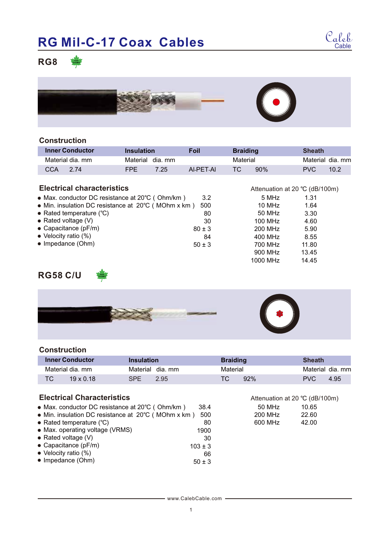

**RG8**



### **Construction**

|                              | <b>Inner Conductor</b>                              | <b>Insulation</b> |         | <b>Foil</b> | <b>Braiding</b> |                                  | <b>Sheath</b> |                  |
|------------------------------|-----------------------------------------------------|-------------------|---------|-------------|-----------------|----------------------------------|---------------|------------------|
|                              | Material dia, mm                                    | Material          | dia. mm |             | Material        |                                  |               | Material dia, mm |
| <b>CCA</b>                   | 2.74                                                | <b>FPE</b>        | 7.25    | AI-PET-AI   | ТC              | 90%                              | <b>PVC</b>    | 10.2             |
|                              |                                                     |                   |         |             |                 |                                  |               |                  |
|                              | <b>Electrical characteristics</b>                   |                   |         |             |                 | Attenuation at 20 $°C$ (dB/100m) |               |                  |
|                              | • Max. conductor DC resistance at 20°C (Ohm/km)     |                   |         | 3.2         |                 | 5 MHz                            | 1.31          |                  |
|                              | • Min. insulation DC resistance at 20°C (MOhm x km) |                   |         | 500         |                 | $10$ MHz                         | 1.64          |                  |
|                              | • Rated temperature $(°C)$                          |                   |         | 80          |                 | 50 MHz                           | 3.30          |                  |
|                              | • Rated voltage $(V)$                               |                   |         | 30          |                 | 100 MHz                          | 4.60          |                  |
|                              | $\bullet$ Capacitance (pF/m)                        |                   |         | $80 \pm 3$  |                 | 200 MHz                          | 5.90          |                  |
| $\bullet$ Velocity ratio (%) |                                                     |                   |         | 84          |                 | 400 MHz                          | 8.55          |                  |
|                              | • Impedance (Ohm)                                   |                   |         | $50 \pm 3$  |                 | 700 MHz                          | 11.80         |                  |
|                              |                                                     |                   |         |             |                 | 900 MHz                          | 13.45         |                  |
|                              |                                                     |                   |         |             |                 | 1000 MHz                         | 14.45         |                  |

## **RG58 C/U**



#### **Construction**

|    | <b>Inner Conductor</b> | <b>Insulation</b> |                 | <b>Braiding</b> |     | <b>Sheath</b> |                  |
|----|------------------------|-------------------|-----------------|-----------------|-----|---------------|------------------|
|    | Material dia. mm       |                   | Material dia mm | Material        |     |               | Material dia. mm |
| ТC | $19 \times 0.18$       | <b>SPE</b>        | 2.95            | TC.             | 92% | PVC.          | 4.95             |

50 MHz 200 MHz 600 MHz

10.65 22.60 42.00

Attenuation at 20 ℃ (dB/100m)

### **Electrical Characteristics**

- Max. conductor DC resistance at 20℃(Ohm/km) 38.4
- Min. insulation DC resistance at 20℃(MOhm x km) 500 80
- Rated temperature (℃)
- Max. operating voltage (VRMS)
- Rated voltage (V)
- Capacitance (pF/m)
- Velocity ratio (%)  $\bullet$  Impedance (Ohm) 66 50 ± 3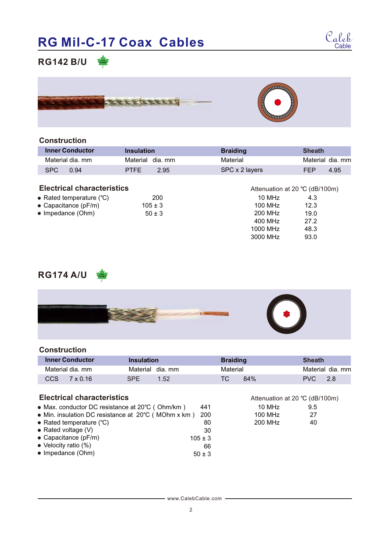

## **RG142 B/U**



### **Construction**

| <b>Inner Conductor</b>            | <b>Insulation</b>   | <b>Braiding</b> | <b>Sheath</b>                    |
|-----------------------------------|---------------------|-----------------|----------------------------------|
| Material dia, mm                  | dia. mm<br>Material | Material        | Material dia, mm                 |
| SPC<br>0.94                       | <b>PTFE</b><br>2.95 | SPC x 2 layers  | 4.95<br>FEP                      |
|                                   |                     |                 |                                  |
| <b>Electrical characteristics</b> |                     |                 | Attenuation at 20 $°C$ (dB/100m) |
| • Rated temperature $(^{\circ}C)$ | 200                 | 10 MHz          | 4.3                              |
| • Capacitance (pF/m)              | $105 \pm 3$         | 100 MHz         | 12.3                             |
| • Impedance (Ohm)                 | $50 \pm 3$          | 200 MHz         | 19.0                             |
|                                   |                     | 400 MHz         | 27.2                             |
|                                   |                     | 1000 MHz        | 48.3                             |

## **RG174 A/U**



#### **Construction**

| <b>Inner Conductor</b> | Insulation      | <b>Braiding</b> | Sheath           |
|------------------------|-----------------|-----------------|------------------|
| Material dia. mm       | Material dia mm | Material        | Material dia, mm |
| CCS.<br>7 x 0.16       | SPF.<br>1.52    | 84%             | PVC.<br>-2.8     |

### **Electrical characteristics**

- Max. conductor DC resistance at 20℃(Ohm/km) 441
- Min. insulation DC resistance at 20℃(MOhm x km) 200 80
- Rated temperature (℃)
- Rated voltage (V)
- Capacitance (pF/m)
- Velocity ratio (%)
- $\bullet$  Impedance (Ohm)

10 MHz 100 MHz 200 MHz

3000 MHz

93.0

9.5 27 40

Attenuation at 20 ℃ (dB/100m)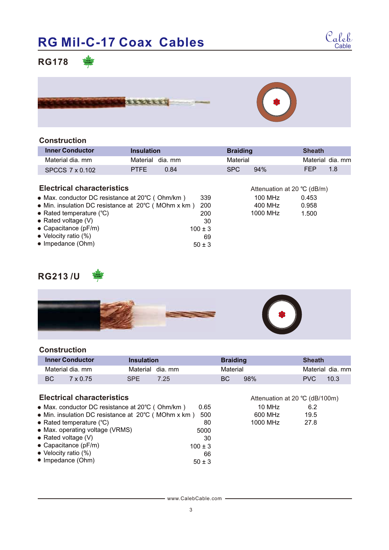

## **RG178**





| <b>Inner Conductor</b>            | <b>Insulation</b>   | <b>Braiding</b> | <b>Sheath</b>               |
|-----------------------------------|---------------------|-----------------|-----------------------------|
| Material dia, mm                  | Material dia, mm    | Material        | Material dia, mm            |
| SPCCS 7 x 0.102                   | 0.84<br><b>PTFE</b> | SPC.<br>94%     | FFP<br>1.8                  |
| <b>Electrical characteristics</b> |                     |                 | Attenuation at 20 °C (dB/m) |

100 MHz 400 MHz 1000 MHz

10 MHz 600 MHz 1000 MHz

6.2 19.5 27.8

Attenuation at 20 ℃ (dB/100m)

0.453 0.958 1.500

|  | <b>Electrical characteristics</b> |
|--|-----------------------------------|
|--|-----------------------------------|

| • Max. conductor DC resistance at 20°C (Ohm/km)     | 339         |
|-----------------------------------------------------|-------------|
| • Min. insulation DC resistance at 20°C (MOhm x km) | 200         |
| • Rated temperature $(^{\circ}C)$                   | 200         |
| • Rated voltage $(V)$                               | 30          |
| $\bullet$ Capacitance (pF/m)                        | $100 \pm 3$ |
| $\bullet$ Velocity ratio (%)                        | 69          |
| • Impedance (Ohm)                                   | $50 + 3$    |

## **RG213 /U**



#### **Construction**

| <b>Inner Conductor</b> | <b>Insulation</b> | <b>Braiding</b> | Sheath           |
|------------------------|-------------------|-----------------|------------------|
| Material dia. mm       | Material dia mm   | Material        | Material dia. mm |
| ВC<br>$7 \times 0.75$  | SPF.<br>7.25      | 98%<br>ВC       | 10.3<br>PVC.     |

5000 30

#### **Electrical characteristics**

- Max. conductor DC resistance at 20℃(Ohm/km) 0.65
- Min. insulation DC resistance at 20℃(MOhm x km) 500 80
- Rated temperature (℃)
- Max. operating voltage (VRMS)
- Rated voltage (V)
- Capacitance (pF/m)
- Velocity ratio (%)  $\bullet$  Impedance (Ohm)  $100 \pm 3$ 66 50 ± 3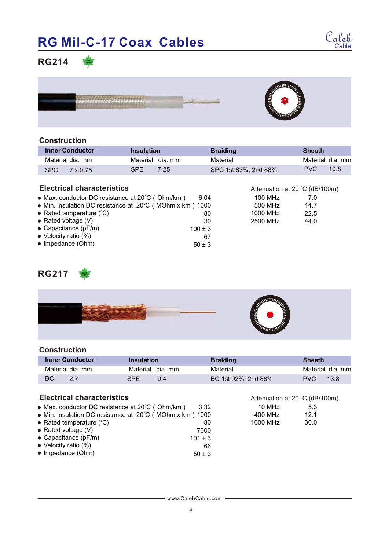

## **RG214**



#### **Construction**

|                                   | <b>Inner Conductor</b> | <b>Insulation</b> |      | <b>Braiding</b>                | <b>Sheath</b>    |      |
|-----------------------------------|------------------------|-------------------|------|--------------------------------|------------------|------|
|                                   | Material dia, mm       | Material dia, mm  |      | Material                       | Material dia, mm |      |
| SPC.                              | 7 x 0.75               | <b>SPE</b>        | 7.25 | SPC 1st 83%; 2nd 88%           | PVC.             | 10.8 |
| <b>Electrical characteristics</b> |                        |                   |      | Attenuation at 20 °C (dB/100m) |                  |      |

| • Max. conductor DC resistance at $20^{\circ}$ C (Ohm/km) | 6.04        | 100 MHz  | 7.0  |  |
|-----------------------------------------------------------|-------------|----------|------|--|
| • Min. insulation DC resistance at 20°C (MOhm x km) 1000  |             | 500 MHz  | 14.7 |  |
| • Rated temperature $(^{\circ}C)$                         | 80          | 1000 MHz | 22.5 |  |
| • Rated voltage $(V)$                                     | 30          | 2500 MHz | 44.0 |  |
| $\bullet$ Capacitance (pF/m)                              | $100 \pm 3$ |          |      |  |
| $\bullet$ Velocity ratio (%)                              | 67          |          |      |  |
| • Impedance (Ohm)                                         | $50 \pm 3$  |          |      |  |
|                                                           |             |          |      |  |

## **RG217**





#### **Construction**

|    | <b>Inner Conductor</b> | Insulation |                 | <b>Braiding</b>     | <b>Sheath</b> |                  |
|----|------------------------|------------|-----------------|---------------------|---------------|------------------|
|    | Material dia. mm       |            | Material dia mm | Material            |               | Material dia. mm |
| ВC |                        | SPF.       | 9.4             | BC 1st 92%; 2nd 88% | PVC.          | 13.8             |

10 MHz 400 MHz 1000 MHz

5.3 12.1 30.0

Attenuation at 20 ℃ (dB/100m)

### **Electrical characteristics**

- Max. conductor DC resistance at 20℃(Ohm/km) 3.32
- Min. insulation DC resistance at 20℃(MOhm x km) 1000 80
- Rated temperature (℃)
- Rated voltage (V)
- Capacitance (pF/m)
- Velocity ratio (%)
- $\bullet$  Impedance (Ohm)

www.CalebCable.com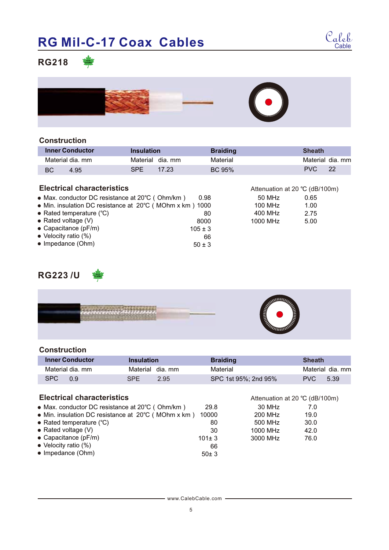

Attenuation at 20 °C (dB/100m)

## **RG218**



### **Construction**

|    | <b>Inner Conductor</b> | <b>Insulation</b> |                  | <b>Braiding</b> | <b>Sheath</b> |                  |
|----|------------------------|-------------------|------------------|-----------------|---------------|------------------|
|    | Material dia. mm       |                   | Material dia, mm | Material        |               | Material dia, mm |
| BC | 4.95                   | <b>SPE</b>        | 17.23            | BC 95%          | PVC.          | 22               |
|    |                        |                   |                  |                 |               |                  |

## **Electrical characteristics**

| • Max. conductor DC resistance at 20°C (Ohm/km)          | 0.98        | 50 MHz   | 0.65 |
|----------------------------------------------------------|-------------|----------|------|
| • Min. insulation DC resistance at 20°C (MOhm x km) 1000 |             | 100 MHz  | 1.00 |
| • Rated temperature $(^{\circ}C)$                        | 80          | 400 MHz  | 2.75 |
| • Rated voltage $(V)$                                    | 8000        | 1000 MHz | 5.00 |
| $\bullet$ Capacitance (pF/m)                             | $105 \pm 3$ |          |      |
| $\bullet$ Velocity ratio (%)                             | 66          |          |      |
| $\bullet$ Impedance (Ohm)                                | $50 \pm 3$  |          |      |

## **RG223 /U**



#### **Construction**

| <b>Inner Conductor</b> | Insulation         | <b>Braiding</b>      | <b>Sheath</b>      |
|------------------------|--------------------|----------------------|--------------------|
| Material dia. mm       | Material dia mm    | Material             | Material dia. mm   |
| <b>SPC</b><br>0 9      | <b>SPF</b><br>2.95 | SPC 1st 95%: 2nd 95% | 5.39<br><b>PVC</b> |

## **Electrical characteristics**

| <b>Electrical characteristics</b>                   |             | Attenuation at 20 °C (dB/100m) |      |
|-----------------------------------------------------|-------------|--------------------------------|------|
| • Max. conductor DC resistance at 20°C (Ohm/km)     | 29.8        | 30 MHz                         | 7.0  |
| • Min. insulation DC resistance at 20°C (MOhm x km) | 10000       | 200 MHz                        | 19.0 |
| • Rated temperature $(^{\circ}C)$                   | 80          | 500 MHz                        | 30.0 |
| • Rated voltage $(V)$                               | 30          | 1000 MHz                       | 42.0 |
| $\bullet$ Capacitance (pF/m)                        | $101 \pm 3$ | 3000 MHz                       | 76.0 |
| $\bullet$ Velocity ratio (%)                        | 66          |                                |      |
| • Impedance (Ohm)                                   | 50±3        |                                |      |